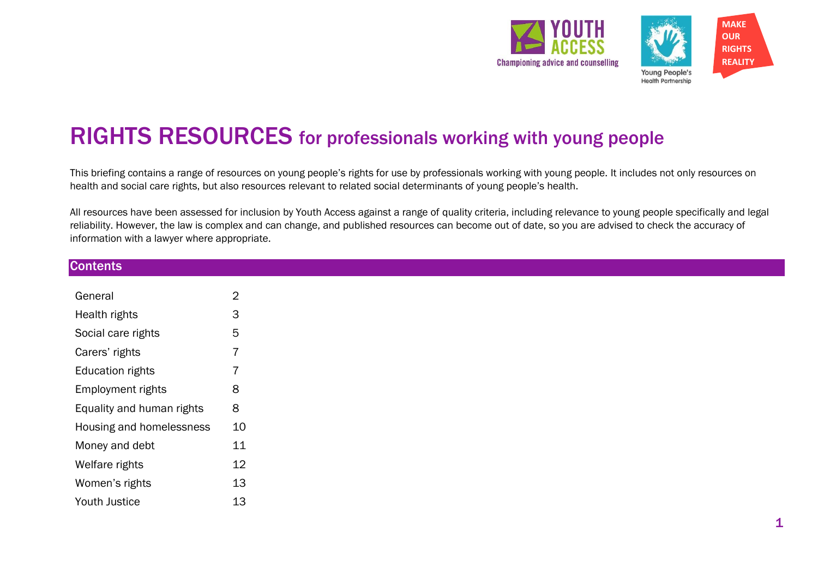

# RIGHTS RESOURCES for professionals working with young people

This briefing contains a range of resources on young people's rights for use by professionals working with young people. It includes not only resources on health and social care rights, but also resources relevant to related social determinants of young people's health.

All resources have been assessed for inclusion by Youth Access against a range of quality criteria, including relevance to young people specifically and legal reliability. However, the law is complex and can change, and published resources can become out of date, so you are advised to check the accuracy of information with a lawyer where appropriate.

| <b>Contents</b>           |                |
|---------------------------|----------------|
| General                   | $\overline{2}$ |
|                           |                |
| Health rights             | 3              |
| Social care rights        | 5              |
| Carers' rights            |                |
| <b>Education rights</b>   |                |
| Employment rights         | 8              |
| Equality and human rights | 8              |
| Housing and homelessness  | $10$           |
| Money and debt            | 11             |
| Welfare rights            | 12             |
| Women's rights            | 13             |
| Youth Justice             | 13             |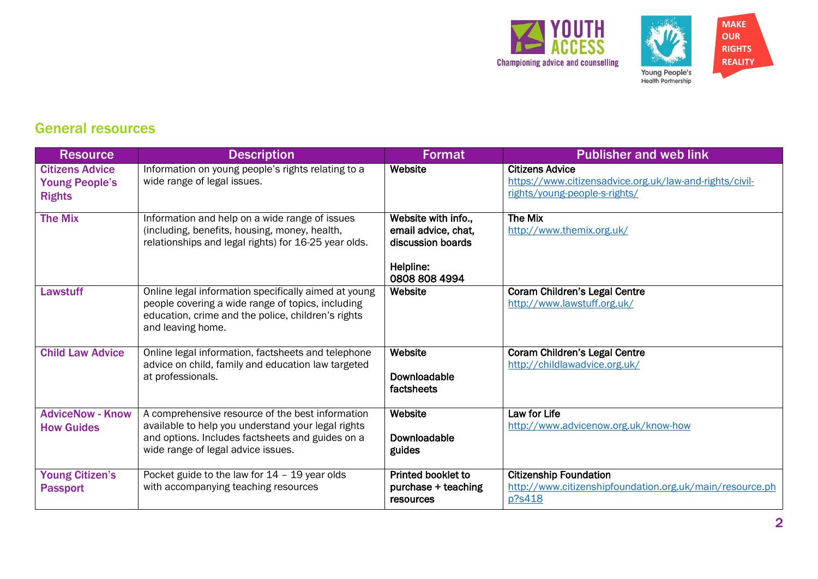



#### General resources

| <b>Resource</b>                                                  | <b>Description</b>                                                                                                                                                                               | Format                                                                                        | <b>Publisher and web link</b>                                                                                      |
|------------------------------------------------------------------|--------------------------------------------------------------------------------------------------------------------------------------------------------------------------------------------------|-----------------------------------------------------------------------------------------------|--------------------------------------------------------------------------------------------------------------------|
| <b>Citizens Advice</b><br><b>Young People's</b><br><b>Rights</b> | Information on young people's rights relating to a<br>wide range of legal issues.                                                                                                                | Website                                                                                       | <b>Citizens Advice</b><br>https://www.citizensadvice.org.uk/law-and-rights/civil-<br>rights/young-people-s-rights/ |
| <b>The Mix</b>                                                   | Information and help on a wide range of issues<br>(including, benefits, housing, money, health,<br>relationships and legal rights) for 16-25 year olds.                                          | Website with info.,<br>email advice, chat,<br>discussion boards<br>Helpline:<br>0808 808 4994 | <b>The Mix</b><br>http://www.themix.org.uk/                                                                        |
| <b>Lawstuff</b>                                                  | Online legal information specifically aimed at young<br>people covering a wide range of topics, including<br>education, crime and the police, children's rights<br>and leaving home.             | Website                                                                                       | <b>Coram Children's Legal Centre</b><br>http://www.lawstuff.org.uk/                                                |
| <b>Child Law Advice</b>                                          | Online legal information, factsheets and telephone<br>advice on child, family and education law targeted<br>at professionals.                                                                    | Website<br>Downloadable<br>factsheets                                                         | <b>Coram Children's Legal Centre</b><br>http://childlawadvice.org.uk/                                              |
| <b>AdviceNow - Know</b><br><b>How Guides</b>                     | A comprehensive resource of the best information<br>available to help you understand your legal rights<br>and options. Includes factsheets and guides on a<br>wide range of legal advice issues. | Website<br>Downloadable<br>guides                                                             | Law for Life<br>http://www.advicenow.org.uk/know-how                                                               |
| <b>Young Citizen's</b><br><b>Passport</b>                        | Pocket guide to the law for 14 - 19 year olds<br>with accompanying teaching resources                                                                                                            | <b>Printed booklet to</b><br>purchase + teaching<br>resources                                 | <b>Citizenship Foundation</b><br>http://www.citizenshipfoundation.org.uk/main/resource.ph<br>p?s418                |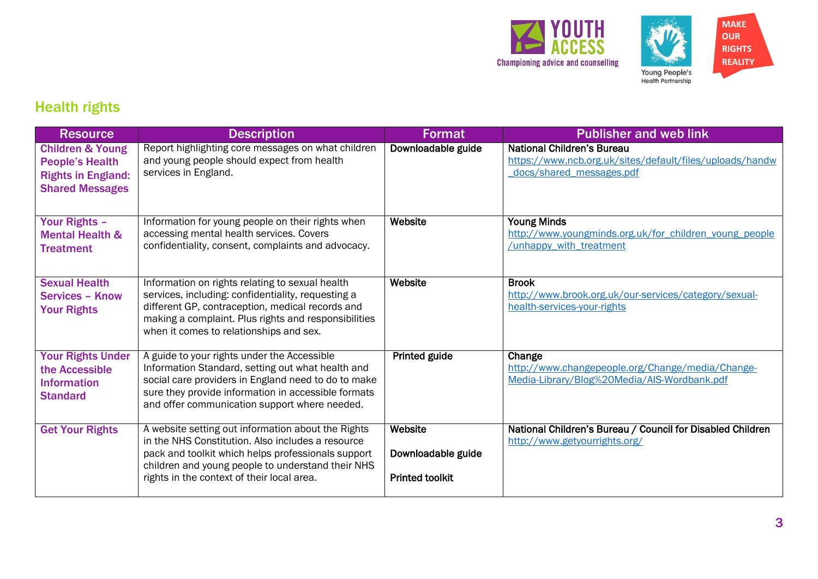



# Health rights

| <b>Resource</b>                                                                                              | <b>Description</b>                                                                                                                                                                                                                                               | <b>Format</b>                                           | <b>Publisher and web link</b>                                                                                             |
|--------------------------------------------------------------------------------------------------------------|------------------------------------------------------------------------------------------------------------------------------------------------------------------------------------------------------------------------------------------------------------------|---------------------------------------------------------|---------------------------------------------------------------------------------------------------------------------------|
| <b>Children &amp; Young</b><br><b>People's Health</b><br><b>Rights in England:</b><br><b>Shared Messages</b> | Report highlighting core messages on what children<br>and young people should expect from health<br>services in England.                                                                                                                                         | Downloadable guide                                      | <b>National Children's Bureau</b><br>https://www.ncb.org.uk/sites/default/files/uploads/handw<br>docs/shared_messages.pdf |
| <b>Your Rights -</b><br><b>Mental Health &amp;</b><br><b>Treatment</b>                                       | Information for young people on their rights when<br>accessing mental health services. Covers<br>confidentiality, consent, complaints and advocacy.                                                                                                              | Website                                                 | <b>Young Minds</b><br>http://www.youngminds.org.uk/for children young people<br>/unhappy with treatment                   |
| <b>Sexual Health</b><br><b>Services - Know</b><br><b>Your Rights</b>                                         | Information on rights relating to sexual health<br>services, including: confidentiality, requesting a<br>different GP, contraception, medical records and<br>making a complaint. Plus rights and responsibilities<br>when it comes to relationships and sex.     | Website                                                 | <b>Brook</b><br>http://www.brook.org.uk/our-services/category/sexual-<br>health-services-your-rights                      |
| <b>Your Rights Under</b><br>the Accessible<br><b>Information</b><br><b>Standard</b>                          | A guide to your rights under the Accessible<br>Information Standard, setting out what health and<br>social care providers in England need to do to make<br>sure they provide information in accessible formats<br>and offer communication support where needed.  | Printed guide                                           | Change<br>http://www.changepeople.org/Change/media/Change-<br>Media-Library/Blog%20Media/AIS-Wordbank.pdf                 |
| <b>Get Your Rights</b>                                                                                       | A website setting out information about the Rights<br>in the NHS Constitution. Also includes a resource<br>pack and toolkit which helps professionals support<br>children and young people to understand their NHS<br>rights in the context of their local area. | Website<br>Downloadable guide<br><b>Printed toolkit</b> | National Children's Bureau / Council for Disabled Children<br>http://www.getyourrights.org/                               |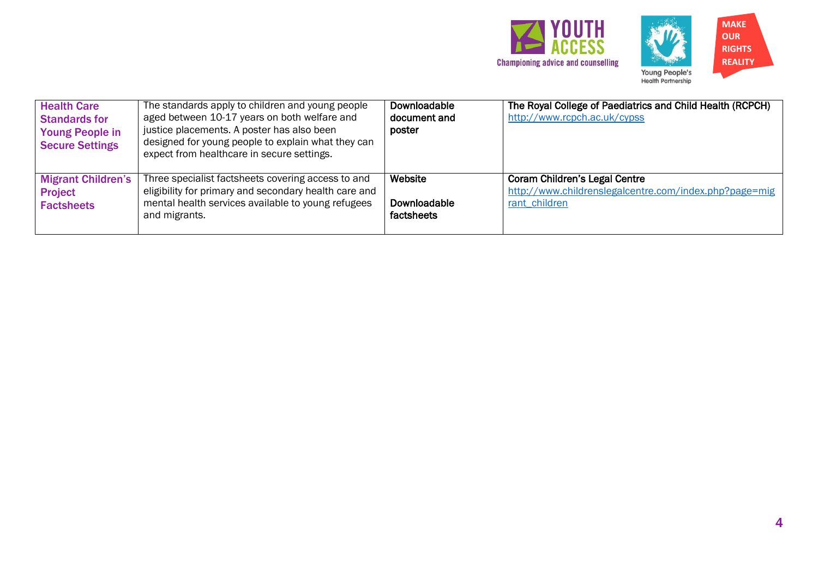



| <b>Health Care</b><br><b>Standards for</b><br><b>Young People in</b><br><b>Secure Settings</b> | The standards apply to children and young people<br>aged between 10-17 years on both welfare and<br>justice placements. A poster has also been<br>designed for young people to explain what they can<br>expect from healthcare in secure settings. | Downloadable<br>document and<br>poster | The Royal College of Paediatrics and Child Health (RCPCH)<br>http://www.rcpch.ac.uk/cypss                       |
|------------------------------------------------------------------------------------------------|----------------------------------------------------------------------------------------------------------------------------------------------------------------------------------------------------------------------------------------------------|----------------------------------------|-----------------------------------------------------------------------------------------------------------------|
| <b>Migrant Children's</b><br><b>Project</b><br><b>Factsheets</b>                               | Three specialist factsheets covering access to and<br>eligibility for primary and secondary health care and<br>mental health services available to young refugees<br>and migrants.                                                                 | Website<br>Downloadable<br>factsheets  | <b>Coram Children's Legal Centre</b><br>http://www.childrenslegalcentre.com/index.php?page=mig<br>rant children |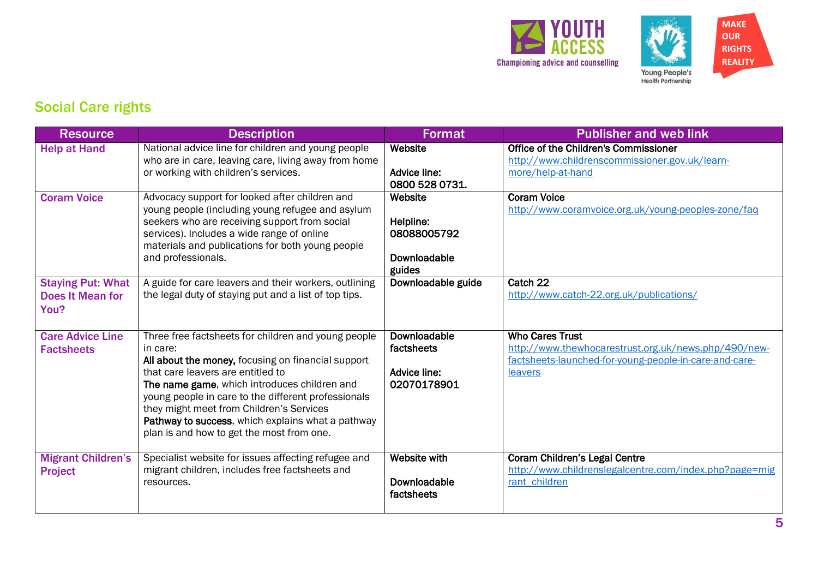



# Social Care rights

| <b>Resource</b>                                             | <b>Description</b>                                                                                                                                                                                                                                                                                                                                                                                              | Format                                                           | <b>Publisher and web link</b>                                                                                                                       |
|-------------------------------------------------------------|-----------------------------------------------------------------------------------------------------------------------------------------------------------------------------------------------------------------------------------------------------------------------------------------------------------------------------------------------------------------------------------------------------------------|------------------------------------------------------------------|-----------------------------------------------------------------------------------------------------------------------------------------------------|
| <b>Help at Hand</b>                                         | National advice line for children and young people<br>who are in care, leaving care, living away from home<br>or working with children's services.                                                                                                                                                                                                                                                              | Website<br>Advice line:<br>0800 528 0731.                        | Office of the Children's Commissioner<br>http://www.childrenscommissioner.gov.uk/learn-<br>more/help-at-hand                                        |
| <b>Coram Voice</b>                                          | Advocacy support for looked after children and<br>young people (including young refugee and asylum<br>seekers who are receiving support from social<br>services). Includes a wide range of online<br>materials and publications for both young people<br>and professionals.                                                                                                                                     | Website<br>Helpline:<br>08088005792<br>Downloadable<br>guides    | <b>Coram Voice</b><br>http://www.coramvoice.org.uk/young-peoples-zone/faq                                                                           |
| <b>Staying Put: What</b><br><b>Does It Mean for</b><br>You? | A guide for care leavers and their workers, outlining<br>the legal duty of staying put and a list of top tips.                                                                                                                                                                                                                                                                                                  | Downloadable guide                                               | Catch 22<br>http://www.catch-22.org.uk/publications/                                                                                                |
| <b>Care Advice Line</b><br><b>Factsheets</b>                | Three free factsheets for children and young people<br>in care:<br>All about the money, focusing on financial support<br>that care leavers are entitled to<br>The name game, which introduces children and<br>young people in care to the different professionals<br>they might meet from Children's Services<br>Pathway to success, which explains what a pathway<br>plan is and how to get the most from one. | Downloadable<br>factsheets<br><b>Advice line:</b><br>02070178901 | <b>Who Cares Trust</b><br>http://www.thewhocarestrust.org.uk/news.php/490/new-<br>factsheets-launched-for-young-people-in-care-and-care-<br>leavers |
| <b>Migrant Children's</b><br><b>Project</b>                 | Specialist website for issues affecting refugee and<br>migrant children, includes free factsheets and<br>resources.                                                                                                                                                                                                                                                                                             | <b>Website with</b><br>Downloadable<br>factsheets                | <b>Coram Children's Legal Centre</b><br>http://www.childrenslegalcentre.com/index.php?page=mig<br>rant children                                     |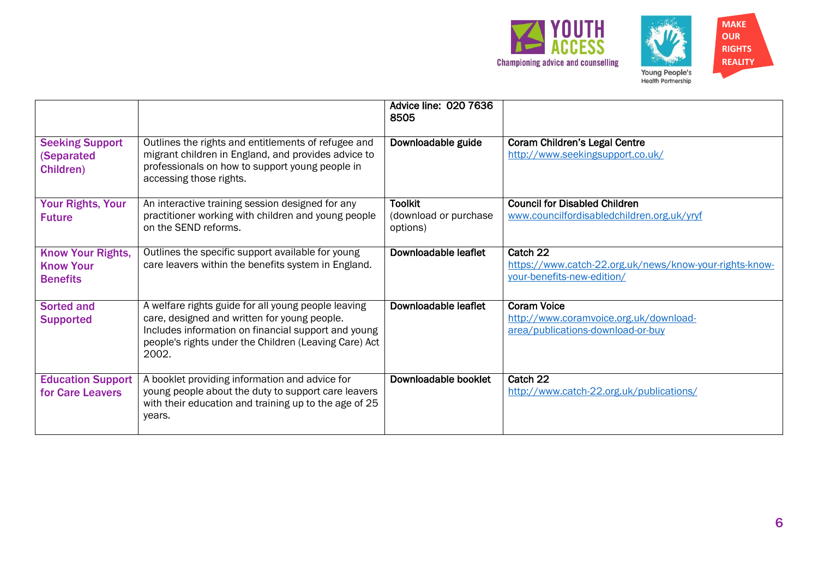



Advice line: 020 7636 8505 Seeking Support (Separated Children) Outlines the rights and entitlements of refugee and migrant children in England, and provides advice to professionals on how to support young people in accessing those rights. Downloadable guide | Coram Children's Legal Centre <http://www.seekingsupport.co.uk/> Your Rights, Your Future An interactive training session designed for any practitioner working with children and young people on the SEND reforms. **Toolkit** (download or purchase options) Council for Disabled Children [www.councilfordisabledchildren.org.uk/yryf](http://www.councilfordisabledchildren.org.uk/yryf) Know Your Rights, Know Your **Benefits** Outlines the specific support available for young care leavers within the benefits system in England. Downloadable leaflet Catch 22 [https://www.catch-22.org.uk/news/know-your-rights-know](https://www.catch-22.org.uk/news/know-your-rights-know-your-benefits-new-edition/)[your-benefits-new-edition/](https://www.catch-22.org.uk/news/know-your-rights-know-your-benefits-new-edition/) Sorted and Supported A welfare rights guide for all young people leaving care, designed and written for young people. Includes information on financial support and young people's rights under the Children (Leaving Care) Act 2002. Downloadable leaflet Coram Voice [http://www.coramvoice.org.uk/download](http://www.coramvoice.org.uk/download-area/publications-download-or-buy)[area/publications-download-or-buy](http://www.coramvoice.org.uk/download-area/publications-download-or-buy) Education Support for Care Leavers A booklet providing information and advice for young people about the duty to support care leavers with their education and training up to the age of 25 years. Downloadable booklet | Catch 22 <http://www.catch-22.org.uk/publications/>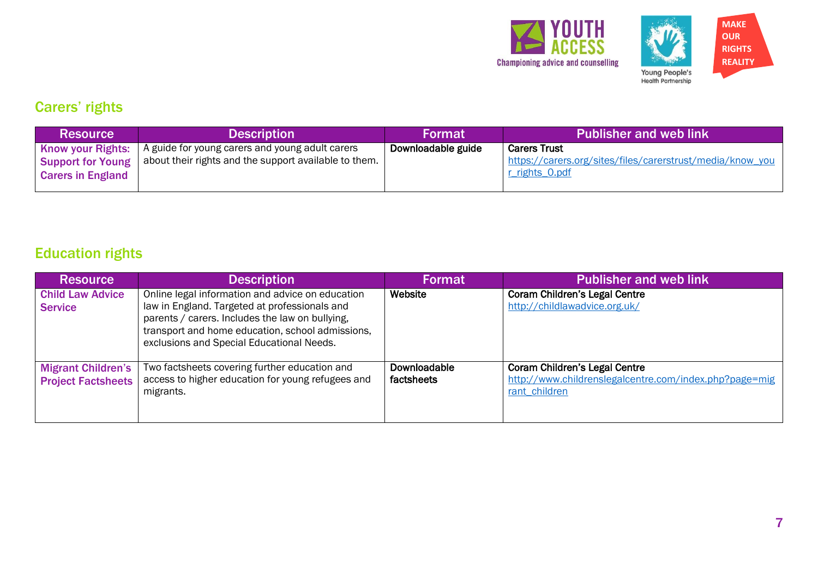



# Carers' rights

| <b>Resource</b>                                                                  | <b>Description</b>                                                                                       | <b>Format</b>      | <b>Publisher and web link</b>                                                                      |
|----------------------------------------------------------------------------------|----------------------------------------------------------------------------------------------------------|--------------------|----------------------------------------------------------------------------------------------------|
| <b>Know your Rights:</b><br><b>Support for Young</b><br><b>Carers in England</b> | A guide for young carers and young adult carers<br>about their rights and the support available to them. | Downloadable guide | <b>Carers Trust</b><br>https://carers.org/sites/files/carerstrust/media/know_you<br>r rights 0.pdf |

# Education rights

| <b>Resource</b>                                        | <b>Description</b>                                                                                                                                                                                                                                    | <b>Format</b>                     | <b>Publisher and web link</b>                                                                                   |
|--------------------------------------------------------|-------------------------------------------------------------------------------------------------------------------------------------------------------------------------------------------------------------------------------------------------------|-----------------------------------|-----------------------------------------------------------------------------------------------------------------|
| <b>Child Law Advice</b><br><b>Service</b>              | Online legal information and advice on education<br>law in England. Targeted at professionals and<br>parents / carers. Includes the law on bullying,<br>transport and home education, school admissions,<br>exclusions and Special Educational Needs. | Website                           | <b>Coram Children's Legal Centre</b><br>http://childlawadvice.org.uk/                                           |
| <b>Migrant Children's</b><br><b>Project Factsheets</b> | Two factsheets covering further education and<br>access to higher education for young refugees and<br>migrants.                                                                                                                                       | <b>Downloadable</b><br>factsheets | <b>Coram Children's Legal Centre</b><br>http://www.childrenslegalcentre.com/index.php?page=mig<br>rant children |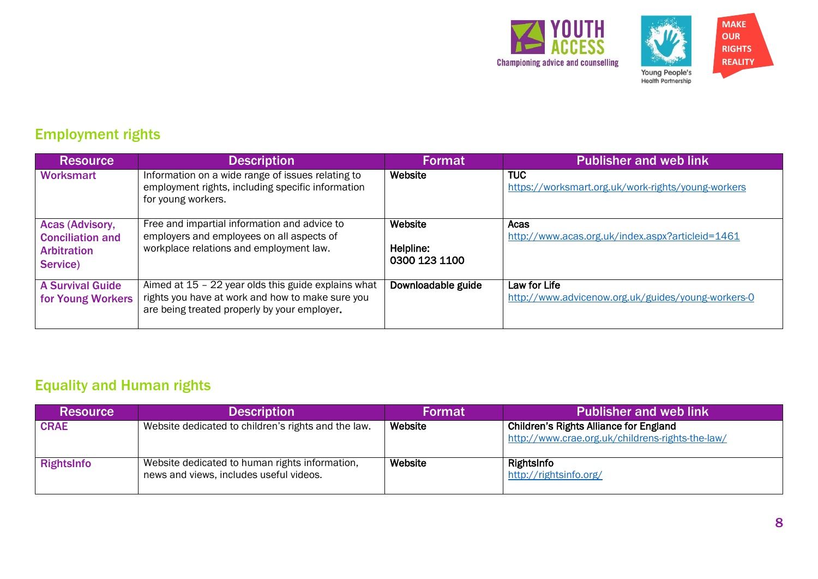



### Employment rights

| <b>Resource</b>                                                              | <b>Description</b>                                                                                                                                        | <b>Format</b>                         | <b>Publisher and web link</b>                                      |
|------------------------------------------------------------------------------|-----------------------------------------------------------------------------------------------------------------------------------------------------------|---------------------------------------|--------------------------------------------------------------------|
| <b>Worksmart</b>                                                             | Information on a wide range of issues relating to<br>employment rights, including specific information<br>for young workers.                              | Website                               | <b>TUC</b><br>https://worksmart.org.uk/work-rights/young-workers   |
| Acas (Advisory,<br><b>Conciliation and</b><br><b>Arbitration</b><br>Service) | Free and impartial information and advice to<br>employers and employees on all aspects of<br>workplace relations and employment law.                      | Website<br>Helpline:<br>0300 123 1100 | Acas<br>http://www.acas.org.uk/index.aspx?articleid=1461           |
| A Survival Guide<br>for Young Workers                                        | Aimed at $15 - 22$ year olds this guide explains what<br>rights you have at work and how to make sure you<br>are being treated properly by your employer. | Downloadable guide                    | Law for Life<br>http://www.advicenow.org.uk/guides/young-workers-0 |

### Equality and Human rights

| <b>Resource</b> | <b>Description</b>                                                                        | <b>Format</b> | <b>Publisher and web link</b>                                                                     |
|-----------------|-------------------------------------------------------------------------------------------|---------------|---------------------------------------------------------------------------------------------------|
| <b>CRAE</b>     | Website dedicated to children's rights and the law.                                       | Website       | <b>Children's Rights Alliance for England</b><br>http://www.crae.org.uk/childrens-rights-the-law/ |
| RightsInfo      | Website dedicated to human rights information,<br>news and views, includes useful videos. | Website       | RightsInfo<br>http://rightsinfo.org/                                                              |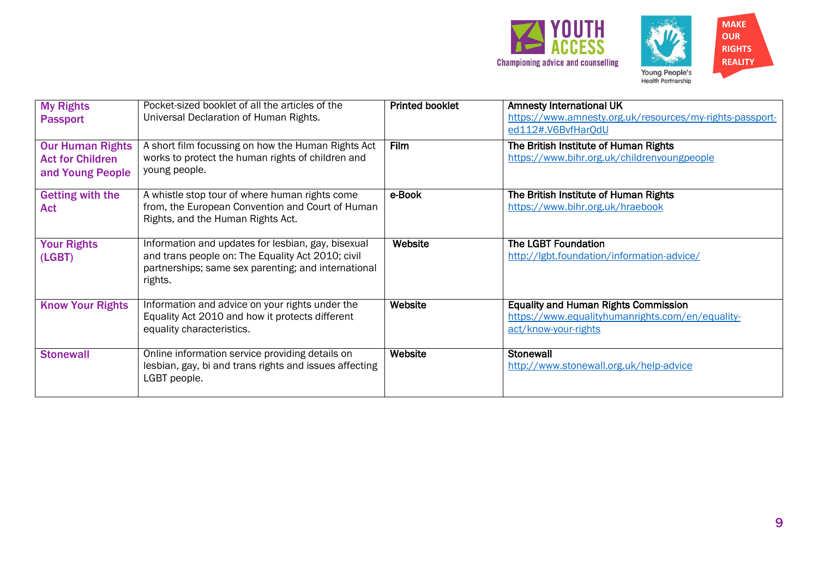



| <b>My Rights</b><br><b>Passport</b>                                    | Pocket-sized booklet of all the articles of the<br>Universal Declaration of Human Rights.                                                                                 | <b>Printed booklet</b> | <b>Amnesty International UK</b><br>https://www.amnesty.org.uk/resources/my-rights-passport-<br>ed112#.V6BvfHarQdU       |
|------------------------------------------------------------------------|---------------------------------------------------------------------------------------------------------------------------------------------------------------------------|------------------------|-------------------------------------------------------------------------------------------------------------------------|
| <b>Our Human Rights</b><br><b>Act for Children</b><br>and Young People | A short film focussing on how the Human Rights Act<br>works to protect the human rights of children and<br>young people.                                                  | Film                   | The British Institute of Human Rights<br>https://www.bihr.org.uk/childrenyoungpeople                                    |
| <b>Getting with the</b><br><b>Act</b>                                  | A whistle stop tour of where human rights come<br>from, the European Convention and Court of Human<br>Rights, and the Human Rights Act.                                   | e-Book                 | The British Institute of Human Rights<br>https://www.bihr.org.uk/hraebook                                               |
| <b>Your Rights</b><br>(LGBT)                                           | Information and updates for lesbian, gay, bisexual<br>and trans people on: The Equality Act 2010; civil<br>partnerships; same sex parenting; and international<br>rights. | Website                | <b>The LGBT Foundation</b><br>http://lgbt.foundation/information-advice/                                                |
| <b>Know Your Rights</b>                                                | Information and advice on your rights under the<br>Equality Act 2010 and how it protects different<br>equality characteristics.                                           | Website                | <b>Equality and Human Rights Commission</b><br>https://www.equalityhumanrights.com/en/equality-<br>act/know-your-rights |
| <b>Stonewall</b>                                                       | Online information service providing details on<br>lesbian, gay, bi and trans rights and issues affecting<br>LGBT people.                                                 | Website                | <b>Stonewall</b><br>http://www.stonewall.org.uk/help-advice                                                             |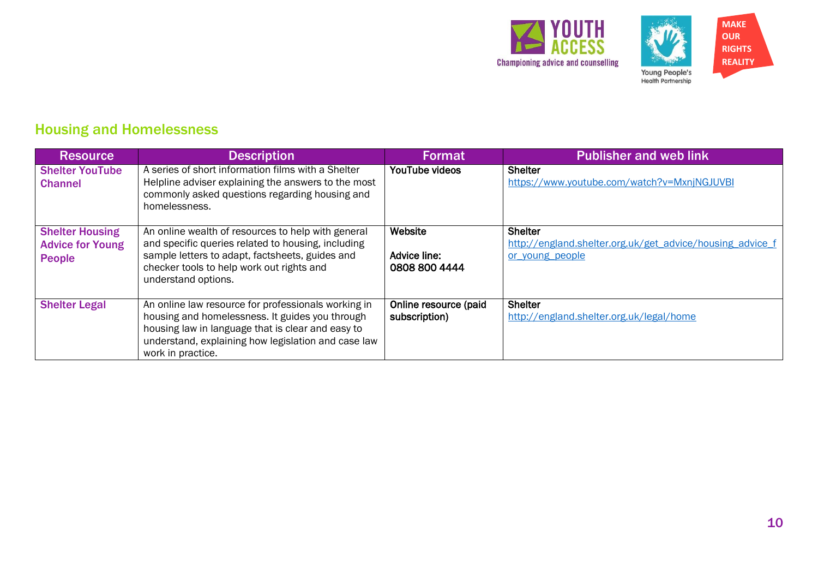



### Housing and Homelessness

| <b>Resource</b>                                                    | <b>Description</b>                                                                                                                                                                                                                      | <b>Format</b>                            | <b>Publisher and web link</b>                                                                  |
|--------------------------------------------------------------------|-----------------------------------------------------------------------------------------------------------------------------------------------------------------------------------------------------------------------------------------|------------------------------------------|------------------------------------------------------------------------------------------------|
| <b>Shelter YouTube</b><br><b>Channel</b>                           | A series of short information films with a Shelter<br>Helpline adviser explaining the answers to the most<br>commonly asked questions regarding housing and<br>homelessness.                                                            | YouTube videos                           | <b>Shelter</b><br>https://www.youtube.com/watch?v=MxnjNGJUVBI                                  |
| <b>Shelter Housing</b><br><b>Advice for Young</b><br><b>People</b> | An online wealth of resources to help with general<br>and specific queries related to housing, including<br>sample letters to adapt, factsheets, guides and<br>checker tools to help work out rights and<br>understand options.         | Website<br>Advice line:<br>0808 800 4444 | <b>Shelter</b><br>http://england.shelter.org.uk/get_advice/housing_advice_f<br>or young people |
| <b>Shelter Legal</b>                                               | An online law resource for professionals working in<br>housing and homelessness. It guides you through<br>housing law in language that is clear and easy to<br>understand, explaining how legislation and case law<br>work in practice. | Online resource (paid<br>subscription)   | <b>Shelter</b><br>http://england.shelter.org.uk/legal/home                                     |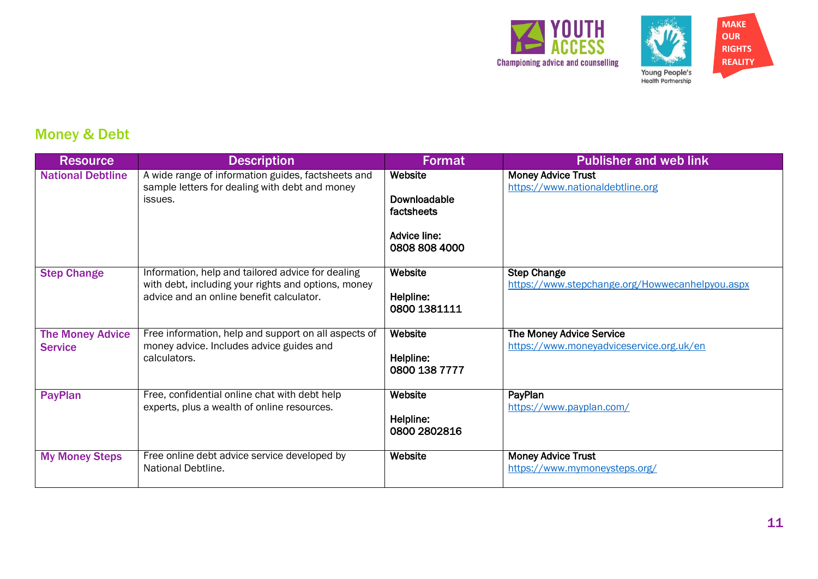



# Money & Debt

| <b>Resource</b>                           | <b>Description</b>                                                                                                                                   | <b>Format</b>                                                          | <b>Publisher and web link</b>                                         |
|-------------------------------------------|------------------------------------------------------------------------------------------------------------------------------------------------------|------------------------------------------------------------------------|-----------------------------------------------------------------------|
| <b>National Debtline</b>                  | A wide range of information guides, factsheets and<br>sample letters for dealing with debt and money<br>issues.                                      | Website<br>Downloadable<br>factsheets<br>Advice line:<br>0808 808 4000 | <b>Money Advice Trust</b><br>https://www.nationaldebtline.org         |
| <b>Step Change</b>                        | Information, help and tailored advice for dealing<br>with debt, including your rights and options, money<br>advice and an online benefit calculator. | Website<br>Helpline:<br>0800 1381111                                   | <b>Step Change</b><br>https://www.stepchange.org/Howwecanhelpyou.aspx |
| <b>The Money Advice</b><br><b>Service</b> | Free information, help and support on all aspects of<br>money advice. Includes advice guides and<br>calculators.                                     | Website<br>Helpline:<br>0800 138 7777                                  | The Money Advice Service<br>https://www.moneyadviceservice.org.uk/en  |
| PayPlan                                   | Free, confidential online chat with debt help<br>experts, plus a wealth of online resources.                                                         | Website<br>Helpline:<br>0800 2802816                                   | PayPlan<br>https://www.payplan.com/                                   |
| <b>My Money Steps</b>                     | Free online debt advice service developed by<br>National Debtline.                                                                                   | Website                                                                | <b>Money Advice Trust</b><br>https://www.mymoneysteps.org/            |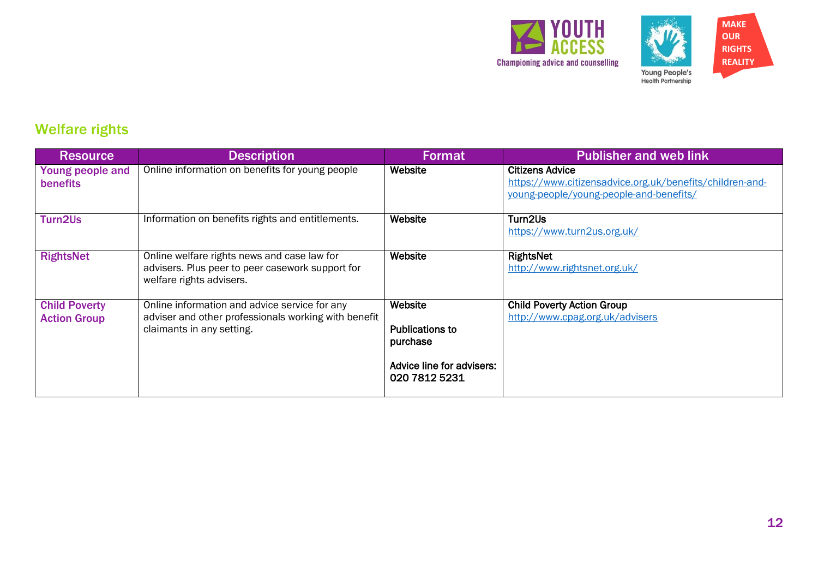



### Welfare rights

| <b>Resource</b>                             | <b>Description</b>                                                                                                                 | <b>Format</b>                                                                        | <b>Publisher and web link</b>                                                                                                 |
|---------------------------------------------|------------------------------------------------------------------------------------------------------------------------------------|--------------------------------------------------------------------------------------|-------------------------------------------------------------------------------------------------------------------------------|
| Young people and<br>benefits                | Online information on benefits for young people                                                                                    | Website                                                                              | <b>Citizens Advice</b><br>https://www.citizensadvice.org.uk/benefits/children-and-<br>young-people/young-people-and-benefits/ |
| Turn2Us                                     | Information on benefits rights and entitlements.                                                                                   | Website                                                                              | Turn2Us<br>https://www.turn2us.org.uk/                                                                                        |
| <b>RightsNet</b>                            | Online welfare rights news and case law for<br>advisers. Plus peer to peer casework support for<br>welfare rights advisers.        | Website                                                                              | RightsNet<br>http://www.rightsnet.org.uk/                                                                                     |
| <b>Child Poverty</b><br><b>Action Group</b> | Online information and advice service for any<br>adviser and other professionals working with benefit<br>claimants in any setting. | Website<br>Publications to<br>purchase<br>Advice line for advisers:<br>020 7812 5231 | <b>Child Poverty Action Group</b><br>http://www.cpag.org.uk/advisers                                                          |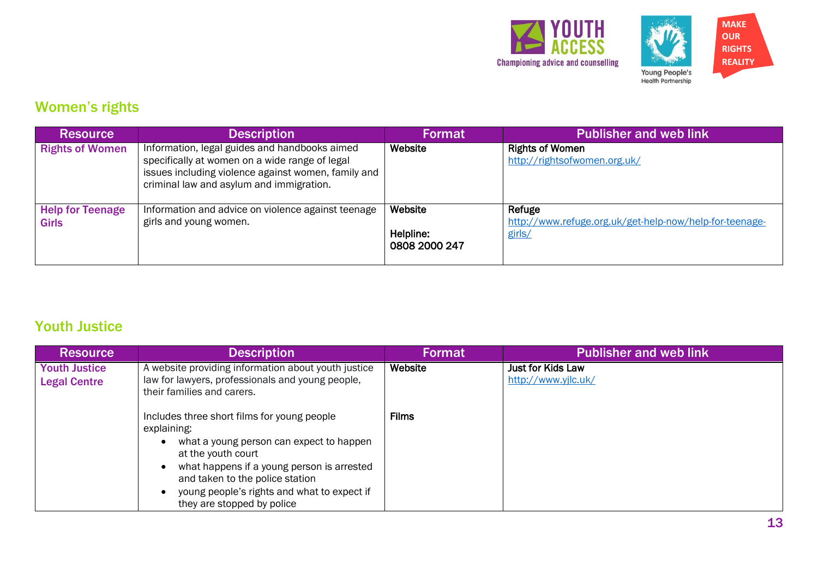



# Women's rights

| <b>Resource</b>                         | <b>Description</b>                                                                                                                                                                                 | <b>Format</b>                         | <b>Publisher and web link</b>                                               |
|-----------------------------------------|----------------------------------------------------------------------------------------------------------------------------------------------------------------------------------------------------|---------------------------------------|-----------------------------------------------------------------------------|
| <b>Rights of Women</b>                  | Information, legal guides and handbooks aimed<br>specifically at women on a wide range of legal<br>issues including violence against women, family and<br>criminal law and asylum and immigration. | Website                               | <b>Rights of Women</b><br>http://rightsofwomen.org.uk/                      |
| <b>Help for Teenage</b><br><b>Girls</b> | Information and advice on violence against teenage<br>girls and young women.                                                                                                                       | Website<br>Helpline:<br>0808 2000 247 | Refuge<br>http://www.refuge.org.uk/get-help-now/help-for-teenage-<br>girls/ |

#### Youth Justice

| <b>Resource</b>                             | <b>Description</b>                                                                                                                                                                                                                                                                         | <b>Format</b> | <b>Publisher and web link</b>            |
|---------------------------------------------|--------------------------------------------------------------------------------------------------------------------------------------------------------------------------------------------------------------------------------------------------------------------------------------------|---------------|------------------------------------------|
| <b>Youth Justice</b><br><b>Legal Centre</b> | A website providing information about youth justice<br>law for lawyers, professionals and young people,<br>their families and carers.                                                                                                                                                      | Website       | Just for Kids Law<br>http://www.yjlc.uk/ |
|                                             | Includes three short films for young people<br>explaining:<br>what a young person can expect to happen<br>at the youth court<br>what happens if a young person is arrested<br>and taken to the police station<br>young people's rights and what to expect if<br>they are stopped by police | <b>Films</b>  |                                          |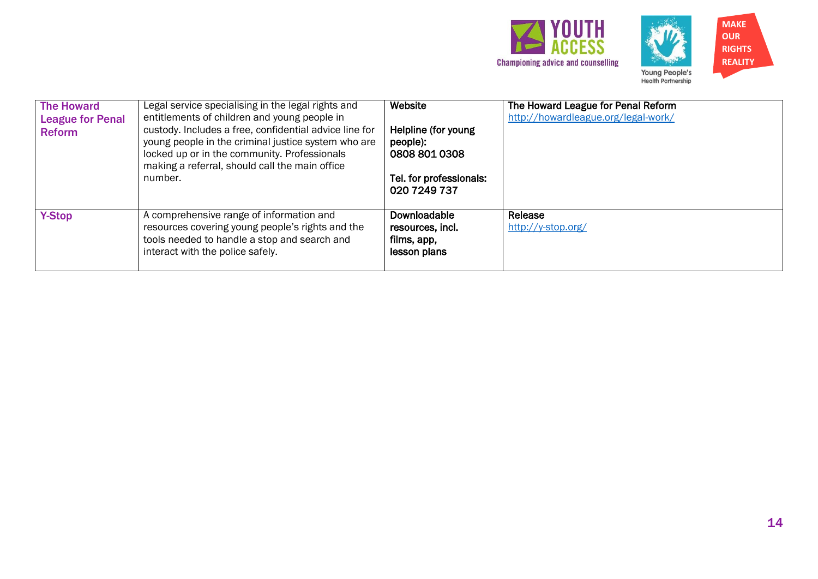



| <b>The Howard</b><br><b>League for Penal</b><br><b>Reform</b> | Legal service specialising in the legal rights and<br>entitlements of children and young people in<br>custody. Includes a free, confidential advice line for<br>young people in the criminal justice system who are<br>locked up or in the community. Professionals<br>making a referral, should call the main office<br>number. | Website<br>Helpline (for young<br>people):<br>0808 801 0308<br>Tel. for professionals:<br>020 7249 737 | The Howard League for Penal Reform<br>http://howardleague.org/legal-work/ |
|---------------------------------------------------------------|----------------------------------------------------------------------------------------------------------------------------------------------------------------------------------------------------------------------------------------------------------------------------------------------------------------------------------|--------------------------------------------------------------------------------------------------------|---------------------------------------------------------------------------|
| <b>Y-Stop</b>                                                 | A comprehensive range of information and<br>resources covering young people's rights and the<br>tools needed to handle a stop and search and<br>interact with the police safely.                                                                                                                                                 | Downloadable<br>resources, incl.<br>films, app,<br>lesson plans                                        | Release<br>http://y-stop.org/                                             |